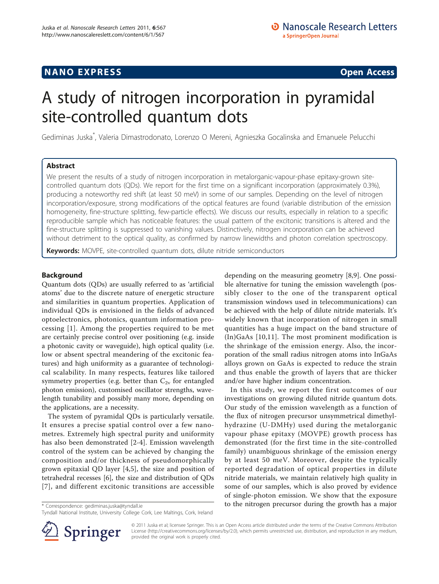## **NANO EXPRESS** Open Access and the set of the set of the set of the set of the set of the set of the set of the set of the set of the set of the set of the set of the set of the set of the set of the set of the set of the

# A study of nitrogen incorporation in pyramidal site-controlled quantum dots

Gediminas Juska\* , Valeria Dimastrodonato, Lorenzo O Mereni, Agnieszka Gocalinska and Emanuele Pelucchi

## Abstract

We present the results of a study of nitrogen incorporation in metalorganic-vapour-phase epitaxy-grown sitecontrolled quantum dots (QDs). We report for the first time on a significant incorporation (approximately 0.3%), producing a noteworthy red shift (at least 50 meV) in some of our samples. Depending on the level of nitrogen incorporation/exposure, strong modifications of the optical features are found (variable distribution of the emission homogeneity, fine-structure splitting, few-particle effects). We discuss our results, especially in relation to a specific reproducible sample which has noticeable features: the usual pattern of the excitonic transitions is altered and the fine-structure splitting is suppressed to vanishing values. Distinctively, nitrogen incorporation can be achieved without detriment to the optical quality, as confirmed by narrow linewidths and photon correlation spectroscopy.

**Keywords:** MOVPE, site-controlled quantum dots, dilute nitride semiconductors

## Background

Quantum dots (QDs) are usually referred to as 'artificial atoms' due to the discrete nature of energetic structure and similarities in quantum properties. Application of individual QDs is envisioned in the fields of advanced optoelectronics, photonics, quantum information processing [\[1\]](#page-5-0). Among the properties required to be met are certainly precise control over positioning (e.g. inside a photonic cavity or waveguide), high optical quality (i.e. low or absent spectral meandering of the excitonic features) and high uniformity as a guarantee of technological scalability. In many respects, features like tailored symmetry properties (e.g. better than  $C_{2v}$  for entangled photon emission), customised oscillator strengths, wavelength tunability and possibly many more, depending on the applications, are a necessity.

The system of pyramidal QDs is particularly versatile. It ensures a precise spatial control over a few nanometres. Extremely high spectral purity and uniformity has also been demonstrated [\[2-4](#page-5-0)]. Emission wavelength control of the system can be achieved by changing the composition and/or thickness of pseudomorphically grown epitaxial QD layer [[4,5](#page-5-0)], the size and position of tetrahedral recesses [\[6](#page-5-0)], the size and distribution of QDs [[7](#page-5-0)], and different excitonic transitions are accessible

depending on the measuring geometry [\[8](#page-5-0),[9\]](#page-5-0). One possible alternative for tuning the emission wavelength (possibly closer to the one of the transparent optical transmission windows used in telecommunications) can be achieved with the help of dilute nitride materials. It's widely known that incorporation of nitrogen in small quantities has a huge impact on the band structure of (In)GaAs [\[10,11\]](#page-6-0). The most prominent modification is the shrinkage of the emission energy. Also, the incorporation of the small radius nitrogen atoms into InGaAs alloys grown on GaAs is expected to reduce the strain and thus enable the growth of layers that are thicker and/or have higher indium concentration.

In this study, we report the first outcomes of our investigations on growing diluted nitride quantum dots. Our study of the emission wavelength as a function of the flux of nitrogen precursor unsymmetrical dimethylhydrazine (U-DMHy) used during the metalorganic vapour phase epitaxy (MOVPE) growth process has demonstrated (for the first time in the site-controlled family) unambiguous shrinkage of the emission energy by at least 50 meV. Moreover, despite the typically reported degradation of optical properties in dilute nitride materials, we maintain relatively high quality in some of our samples, which is also proved by evidence of single-photon emission. We show that the exposure \* Correspondence: [gediminas.juska@tyndall.ie](mailto:gediminas.juska@tyndall.ie) to the nitrogen precursor during the growth has a major



© 2011 Juska et al; licensee Springer. This is an Open Access article distributed under the terms of the Creative Commons Attribution License [\(http://creativecommons.org/licenses/by/2.0](http://creativecommons.org/licenses/by/2.0)), which permits unrestricted use, distribution, and reproduction in any medium, provided the original work is properly cited.

Tyndall National Institute, University College Cork, Lee Maltings, Cork, Ireland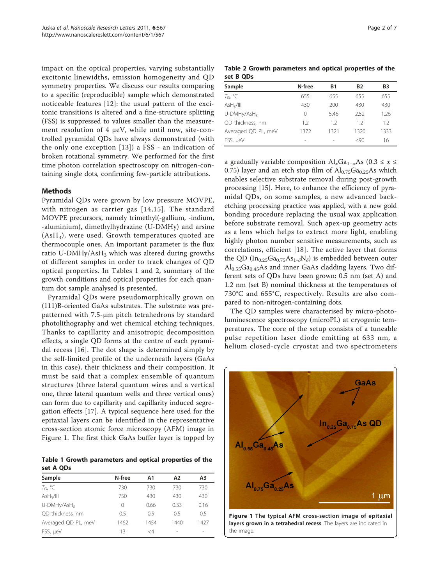<span id="page-1-0"></span>impact on the optical properties, varying substantially excitonic linewidths, emission homogeneity and QD symmetry properties. We discuss our results comparing to a specific (reproducible) sample which demonstrated noticeable features [\[12\]](#page-6-0): the usual pattern of the excitonic transitions is altered and a fine-structure splitting (FSS) is suppressed to values smaller than the measurement resolution of 4 μeV, while until now, site-controlled pyramidal QDs have always demonstrated (with the only one exception [[13](#page-6-0)]) a FSS - an indication of broken rotational symmetry. We performed for the first time photon correlation spectroscopy on nitrogen-containing single dots, confirming few-particle attributions.

### Methods

Pyramidal QDs were grown by low pressure MOVPE, with nitrogen as carrier gas [[14,15\]](#page-6-0). The standard MOVPE precursors, namely trimethyl(-gallium, -indium, -aluminium), dimethylhydrazine (U-DMHy) and arsine  $(AsH<sub>3</sub>)$ , were used. Growth temperatures quoted are thermocouple ones. An important parameter is the flux ratio U-DMHy/AsH<sub>3</sub> which was altered during growths of different samples in order to track changes of QD optical properties. In Tables 1 and 2, summary of the growth conditions and optical properties for each quantum dot sample analysed is presented.

Pyramidal QDs were pseudomorphically grown on (111)B-oriented GaAs substrates. The substrate was prepatterned with 7.5-μm pitch tetrahedrons by standard photolithography and wet chemical etching techniques. Thanks to capillarity and anisotropic decomposition effects, a single QD forms at the centre of each pyramidal recess [[16\]](#page-6-0). The dot shape is determined simply by the self-limited profile of the underneath layers (GaAs in this case), their thickness and their composition. It must be said that a complex ensemble of quantum structures (three lateral quantum wires and a vertical one, three lateral quantum wells and three vertical ones) can form due to capillarity and capillarity induced segregation effects [\[17](#page-6-0)]. A typical sequence here used for the epitaxial layers can be identified in the representative cross-section atomic force microscopy (AFM) image in Figure 1. The first thick GaAs buffer layer is topped by

Table 1 Growth parameters and optical properties of the set A QDs

| Sample                  | N-free | Α1      | A <sub>2</sub>           | A <sub>3</sub>           |
|-------------------------|--------|---------|--------------------------|--------------------------|
| $T_{\text{G}}$ °C       | 730    | 730     | 730                      | 730                      |
| AsH <sub>3</sub> /III   | 750    | 430     | 430                      | 430                      |
| U-DMHy/AsH <sub>3</sub> | 0      | 0.66    | 0.33                     | 0.16                     |
| QD thickness, nm        | 0.5    | 0.5     | 0.5                      | 0.5                      |
| Averaged QD PL, meV     | 1462   | 1454    | 1440                     | 1427                     |
| FSS, µeV                | 13     | $\lt$ 4 | $\overline{\phantom{a}}$ | $\overline{\phantom{a}}$ |

Table 2 Growth parameters and optical properties of the set B QDs

| Sample                  | N-free | <b>B1</b> | <b>B2</b> | B3   |
|-------------------------|--------|-----------|-----------|------|
| $T_{G}$ °C              | 655    | 655       | 655       | 655  |
| AsH <sub>3</sub> /III   | 430    | 200       | 430       | 430  |
| U-DMHy/AsH <sub>3</sub> | 0      | 5.46      | 2.52      | 1.26 |
| QD thickness, nm        | 1.2    | 1.2       | 1.2       | 1.2  |
| Averaged QD PL, meV     | 1372   | 1321      | 1320      | 1333 |
| FSS, µeV                |        |           | $\leq 90$ | 16   |

a gradually variable composition  $\text{Al}_x\text{Ga}_{1-x}\text{As}$  (0.3 ≤ x ≤ 0.75) layer and an etch stop film of  $Al<sub>0.75</sub>Ga<sub>0.25</sub>As which$ enables selective substrate removal during post-growth processing [[15](#page-6-0)]. Here, to enhance the efficiency of pyramidal QDs, on some samples, a new advanced backetching processing practice was applied, with a new gold bonding procedure replacing the usual wax application before substrate removal. Such apex-up geometry acts as a lens which helps to extract more light, enabling highly photon number sensitive measurements, such as correlations, efficient [\[18](#page-6-0)]. The active layer that forms the QD ( $In_{0.25}Ga_{0.75}As_{1.5}N_{\delta}$ ) is embedded between outer  $Al<sub>0.55</sub>Ga<sub>0.45</sub>As$  and inner GaAs cladding layers. Two different sets of QDs have been grown: 0.5 nm (set A) and 1.2 nm (set B) nominal thickness at the temperatures of 730°C and 655°C, respectively. Results are also compared to non-nitrogen-containing dots.

The QD samples were characterised by micro-photoluminescence spectroscopy (microPL) at cryogenic temperatures. The core of the setup consists of a tuneable pulse repetition laser diode emitting at 633 nm, a helium closed-cycle cryostat and two spectrometers

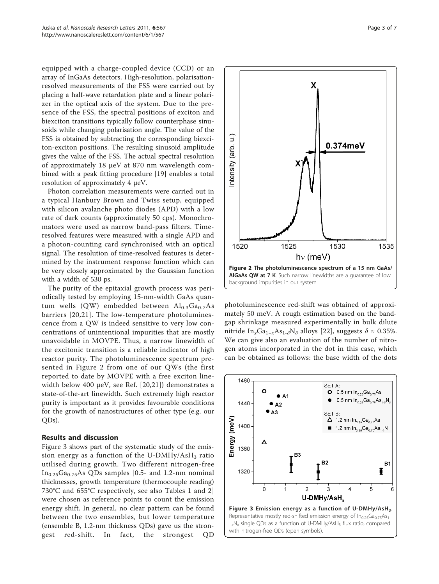equipped with a charge-coupled device (CCD) or an array of InGaAs detectors. High-resolution, polarisationresolved measurements of the FSS were carried out by placing a half-wave retardation plate and a linear polarizer in the optical axis of the system. Due to the presence of the FSS, the spectral positions of exciton and biexciton transitions typically follow counterphase sinusoids while changing polarisation angle. The value of the FSS is obtained by subtracting the corresponding biexciton-exciton positions. The resulting sinusoid amplitude gives the value of the FSS. The actual spectral resolution of approximately 18 μeV at 870 nm wavelength combined with a peak fitting procedure [[19\]](#page-6-0) enables a total resolution of approximately 4 μeV.

Photon correlation measurements were carried out in a typical Hanbury Brown and Twiss setup, equipped with silicon avalanche photo diodes (APD) with a low rate of dark counts (approximately 50 cps). Monochromators were used as narrow band-pass filters. Timeresolved features were measured with a single APD and a photon-counting card synchronised with an optical signal. The resolution of time-resolved features is determined by the instrument response function which can be very closely approximated by the Gaussian function with a width of 530 ps.

The purity of the epitaxial growth process was periodically tested by employing 15-nm-width GaAs quantum wells (QW) embedded between  $\text{Al}_{0.3}\text{Ga}_{0.7}\text{As}$ barriers [[20,21\]](#page-6-0). The low-temperature photoluminescence from a QW is indeed sensitive to very low concentrations of unintentional impurities that are mostly unavoidable in MOVPE. Thus, a narrow linewidth of the excitonic transition is a reliable indicator of high reactor purity. The photoluminescence spectrum presented in Figure 2 from one of our QWs (the first reported to date by MOVPE with a free exciton linewidth below 400 μeV, see Ref. [\[20](#page-6-0),[21\]](#page-6-0)) demonstrates a state-of-the-art linewidth. Such extremely high reactor purity is important as it provides favourable conditions for the growth of nanostructures of other type (e.g. our QDs).

## Results and discussion

Figure 3 shows part of the systematic study of the emission energy as a function of the U-DMHy/AsH<sub>3</sub> ratio utilised during growth. Two different nitrogen-free  $In<sub>0.25</sub>Ga<sub>0.75</sub>As QDs samples [0.5- and 1.2-nm nominal]$ thicknesses, growth temperature (thermocouple reading) 730°C and 655°C respectively, see also Tables [1](#page-1-0) and [2](#page-1-0)] were chosen as reference points to count the emission energy shift. In general, no clear pattern can be found between the two ensembles, but lower temperature (ensemble B, 1.2-nm thickness QDs) gave us the strongest red-shift. In fact, the strongest QD



photoluminescence red-shift was obtained of approximately 50 meV. A rough estimation based on the bandgap shrinkage measured experimentally in bulk dilute nitride In<sub>x</sub>Ga<sub>1-x</sub>As<sub>1-δ</sub>N<sub>δ</sub> alloys [[22](#page-6-0)], suggests  $\delta \approx 0.35\%$ . We can give also an evaluation of the number of nitrogen atoms incorporated in the dot in this case, which can be obtained as follows: the base width of the dots

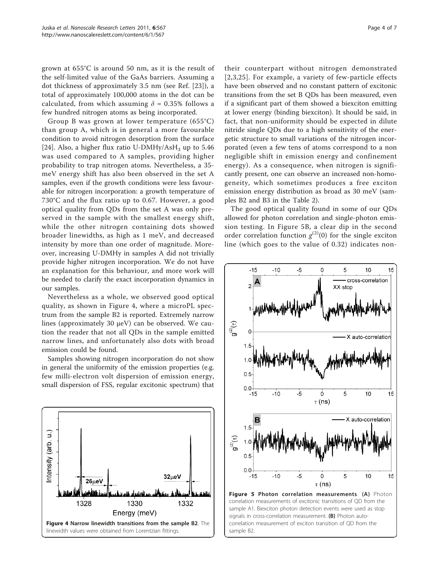<span id="page-3-0"></span>grown at 655°C is around 50 nm, as it is the result of the self-limited value of the GaAs barriers. Assuming a dot thickness of approximately 3.5 nm (see Ref. [[23](#page-6-0)]), a total of approximately 100,000 atoms in the dot can be calculated, from which assuming  $\delta \approx 0.35\%$  follows a few hundred nitrogen atoms as being incorporated.

Group B was grown at lower temperature (655°C) than group A, which is in general a more favourable condition to avoid nitrogen desorption from the surface [[24\]](#page-6-0). Also, a higher flux ratio U-DMHy/AsH<sub>3</sub> up to 5.46 was used compared to A samples, providing higher probability to trap nitrogen atoms. Nevertheless, a 35 meV energy shift has also been observed in the set A samples, even if the growth conditions were less favourable for nitrogen incorporation: a growth temperature of 730°C and the flux ratio up to 0.67. However, a good optical quality from QDs from the set A was only preserved in the sample with the smallest energy shift, while the other nitrogen containing dots showed broader linewidths, as high as 1 meV, and decreased intensity by more than one order of magnitude. Moreover, increasing U-DMHy in samples A did not trivially provide higher nitrogen incorporation. We do not have an explanation for this behaviour, and more work will be needed to clarify the exact incorporation dynamics in our samples.

Nevertheless as a whole, we observed good optical quality, as shown in Figure 4, where a microPL spectrum from the sample B2 is reported. Extremely narrow lines (approximately 30 μeV) can be observed. We caution the reader that not all QDs in the sample emitted narrow lines, and unfortunately also dots with broad emission could be found.

Samples showing nitrogen incorporation do not show in general the uniformity of the emission properties (e.g. few milli-electron volt dispersion of emission energy, small dispersion of FSS, regular excitonic spectrum) that



their counterpart without nitrogen demonstrated [[2](#page-5-0),[3](#page-5-0)[,25\]](#page-6-0). For example, a variety of few-particle effects have been observed and no constant pattern of excitonic transitions from the set B QDs has been measured, even if a significant part of them showed a biexciton emitting at lower energy (binding biexciton). It should be said, in fact, that non-uniformity should be expected in dilute nitride single QDs due to a high sensitivity of the energetic structure to small variations of the nitrogen incorporated (even a few tens of atoms correspond to a non negligible shift in emission energy and confinement energy). As a consequence, when nitrogen is significantly present, one can observe an increased non-homogeneity, which sometimes produces a free exciton emission energy distribution as broad as 30 meV (samples B2 and B3 in the Table [2](#page-1-0)).

The good optical quality found in some of our QDs allowed for photon correlation and single-photon emission testing. In Figure 5B, a clear dip in the second order correlation function  $g^{(2)}(0)$  for the single exciton<br>line (which goes to the value of 0.32) indicates nonline (which goes to the value of 0.32) indicates non-

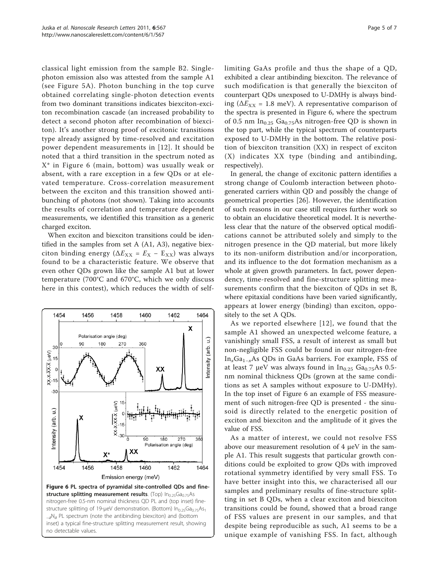classical light emission from the sample B2. Singlephoton emission also was attested from the sample A1 (see Figure [5A\)](#page-3-0). Photon bunching in the top curve obtained correlating single-photon detection events from two dominant transitions indicates biexciton-exciton recombination cascade (an increased probability to detect a second photon after recombination of biexciton). It's another strong proof of excitonic transitions type already assigned by time-resolved and excitation power dependent measurements in [[12](#page-6-0)]. It should be noted that a third transition in the spectrum noted as X\* in Figure 6 (main, bottom) was usually weak or absent, with a rare exception in a few QDs or at elevated temperature. Cross-correlation measurement between the exciton and this transition showed antibunching of photons (not shown). Taking into accounts the results of correlation and temperature dependent measurements, we identified this transition as a generic charged exciton.

When exciton and biexciton transitions could be identified in the samples from set A (A1, A3), negative biexciton binding energy ( $\Delta E_{XX} = E_X - E_{XX}$ ) was always found to be a characteristic feature. We observe that even other QDs grown like the sample A1 but at lower temperature (700°C and 670°C, which we only discuss here in this contest), which reduces the width of self-



limiting GaAs profile and thus the shape of a QD, exhibited a clear antibinding biexciton. The relevance of such modification is that generally the biexciton of counterpart QDs unexposed to U-DMHy is always binding ( $\Delta E_{XX}$  = 1.8 meV). A representative comparison of the spectra is presented in Figure 6, where the spectrum of 0.5 nm  $In_{0.25}$  Ga<sub>0.75</sub>As nitrogen-free QD is shown in the top part, while the typical spectrum of counterparts exposed to U-DMHy in the bottom. The relative position of biexciton transition (XX) in respect of exciton (X) indicates XX type (binding and antibinding, respectively).

In general, the change of excitonic pattern identifies a strong change of Coulomb interaction between photogenerated carriers within QD and possibly the change of geometrical properties [\[26](#page-6-0)]. However, the identification of such reasons in our case still requires further work so to obtain an elucidative theoretical model. It is nevertheless clear that the nature of the observed optical modifications cannot be attributed solely and simply to the nitrogen presence in the QD material, but more likely to its non-uniform distribution and/or incorporation, and its influence to the dot formation mechanism as a whole at given growth parameters. In fact, power dependency, time-resolved and fine-structure splitting measurements confirm that the biexciton of QDs in set B, where epitaxial conditions have been varied significantly, appears at lower energy (binding) than exciton, oppositely to the set A QDs.

As we reported elsewhere [[12\]](#page-6-0), we found that the sample A1 showed an unexpected welcome feature, a vanishingly small FSS, a result of interest as small but non-negligible FSS could be found in our nitrogen-free InxGa1<sup>−</sup>xAs QDs in GaAs barriers. For example, FSS of at least 7 μeV was always found in  $In<sub>0.25</sub> Ga<sub>0.75</sub>As 0.5$ nm nominal thickness QDs (grown at the same conditions as set A samples without exposure to U-DMHy). In the top inset of Figure 6 an example of FSS measurement of such nitrogen-free QD is presented - the sinusoid is directly related to the energetic position of exciton and biexciton and the amplitude of it gives the value of FSS.

As a matter of interest, we could not resolve FSS above our measurement resolution of 4 μeV in the sample A1. This result suggests that particular growth conditions could be exploited to grow QDs with improved rotational symmetry identified by very small FSS. To have better insight into this, we characterised all our samples and preliminary results of fine-structure splitting in set B QDs, when a clear exciton and biexciton transitions could be found, showed that a broad range of FSS values are present in our samples, and that despite being reproducible as such, A1 seems to be a unique example of vanishing FSS. In fact, although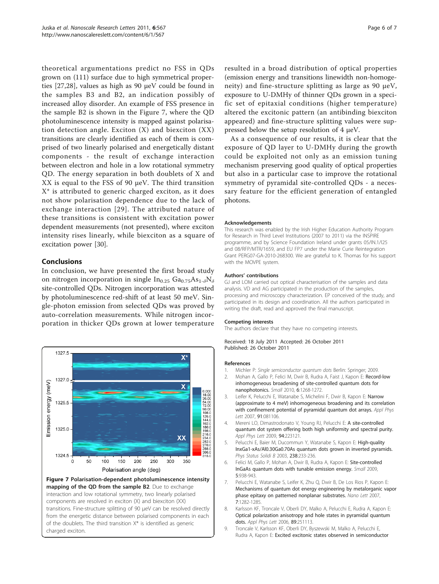<span id="page-5-0"></span>theoretical argumentations predict no FSS in QDs grown on (111) surface due to high symmetrical properties [\[27](#page-6-0),[28\]](#page-6-0), values as high as 90 μeV could be found in the samples B3 and B2, an indication possibly of increased alloy disorder. An example of FSS presence in the sample B2 is shown in the Figure 7, where the QD photoluminescence intensity is mapped against polarisation detection angle. Exciton  $(X)$  and biexciton  $(XX)$ transitions are clearly identified as each of them is comprised of two linearly polarised and energetically distant components - the result of exchange interaction between electron and hole in a low rotational symmetry QD. The energy separation in both doublets of X and XX is equal to the FSS of 90 μeV. The third transition X\* is attributed to generic charged exciton, as it does not show polarisation dependence due to the lack of exchange interaction [[29](#page-6-0)]. The attributed nature of these transitions is consistent with excitation power dependent measurements (not presented), where exciton intensity rises linearly, while biexciton as a square of excitation power [\[30](#page-6-0)].

## **Conclusions**

In conclusion, we have presented the first broad study on nitrogen incorporation in single  $In_{0.25} Ga_{0.75}As_{1-\delta}N_{\delta}$ site-controlled QDs. Nitrogen incorporation was attested by photoluminescence red-shift of at least 50 meV. Single-photon emission from selected QDs was proved by auto-correlation measurements. While nitrogen incorporation in thicker QDs grown at lower temperature



resulted in a broad distribution of optical properties (emission energy and transitions linewidth non-homogeneity) and fine-structure splitting as large as 90 μeV, exposure to U-DMHy of thinner QDs grown in a specific set of epitaxial conditions (higher temperature) altered the excitonic pattern (an antibinding biexciton appeared) and fine-structure splitting values were suppressed below the setup resolution of 4 μeV.

As a consequence of our results, it is clear that the exposure of QD layer to U-DMHy during the growth could be exploited not only as an emission tuning mechanism preserving good quality of optical properties but also in a particular case to improve the rotational symmetry of pyramidal site-controlled QDs - a necessary feature for the efficient generation of entangled photons.

#### Acknowledgements

This research was enabled by the Irish Higher Education Authority Program for Research in Third Level Institutions (2007 to 2011) via the INSPIRE programme, and by Science Foundation Ireland under grants 05/IN.1/I25 and 08/RFP/MTR/1659, and EU FP7 under the Marie Curie Reintegration Grant PERG07-GA-2010-268300. We are grateful to K. Thomas for his support with the MOVPE system.

#### Authors' contributions

GJ and LOM carried out optical characterisation of the samples and data analysis. VD and AG participated in the production of the samples, processing and microscopy characterization. EP conceived of the study, and participated in its design and coordination. All the authors participated in writing the draft, read and approved the final manuscript.

#### Competing interests

The authors declare that they have no competing interests.

Received: 18 July 2011 Accepted: 26 October 2011 Published: 26 October 2011

#### References

- 1. Michler P: Single semiconductor quantum dots Berlin: Springer; 2009. 2. Mohan A, Gallo P, Felici M, Dwir B, Rudra A, Faist J, Kapon E: [Record-low](http://www.ncbi.nlm.nih.gov/pubmed/20486231?dopt=Abstract) [inhomogeneous broadening of site-controlled quantum dots for](http://www.ncbi.nlm.nih.gov/pubmed/20486231?dopt=Abstract) [nanophotonics.](http://www.ncbi.nlm.nih.gov/pubmed/20486231?dopt=Abstract) Small 2010, 6:1268-1272.
- 3. Leifer K, Pelucchi E, Watanabe S, Michelini F, Dwir B, Kapon E: Narrow (approximate to 4 meV) inhomogeneous broadening and its correlation with confinement potential of pyramidal quantum dot arrays. Appl Phys Lett 2007, 91:081106.
- 4. Mereni LO, Dimastrodonato V, Young RJ, Pelucchi E: A site-controlled quantum dot system offering both high uniformity and spectral purity. Appl Phys Lett 2009, 94:223121.
- 5. Pelucchi E, Baier M, Ducommun Y, Watanabe S, Kapon E: High-quality InxGa1-xAs/Al0.30Ga0.70As quantum dots grown in inverted pyramids. Phys Status Solidi B 2003, 238:233-236.
- 6. Felici M, Gallo P, Mohan A, Dwir B, Rudra A, Kapon E: [Site-controlled](http://www.ncbi.nlm.nih.gov/pubmed/19235797?dopt=Abstract) [InGaAs quantum dots with tunable emission energy.](http://www.ncbi.nlm.nih.gov/pubmed/19235797?dopt=Abstract) Small 2009, 5:938-943.
- 7. Pelucchi E, Watanabe S, Leifer K, Zhu Q, Dwir B, De Los Rios P, Kapon E: [Mechanisms of quantum dot energy engineering by metalorganic vapor](http://www.ncbi.nlm.nih.gov/pubmed/17397234?dopt=Abstract) [phase epitaxy on patterned nonplanar substrates.](http://www.ncbi.nlm.nih.gov/pubmed/17397234?dopt=Abstract) Nano Lett 2007, 7:1282-1285.
- 8. Karlsson KF, Troncale V, Oberli DY, Malko A, Pelucchi E, Rudra A, Kapon E: Optical polarization anisotropy and hole states in pyramidal quantum dots. Appl Phys Lett 2006, 89:251113.
- 9. Troncale V, Karlsson KF, Oberli DY, Byszewski M, Malko A, Pelucchi E, Rudra A, Kapon E: Excited excitonic states observed in semiconductor